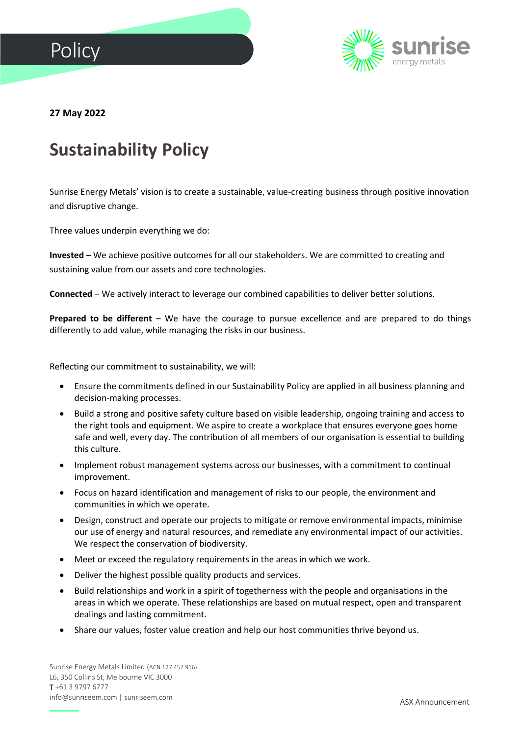



**27 May 2022**

## **Sustainability Policy**

Sunrise Energy Metals' vision is to create a sustainable, value-creating business through positive innovation and disruptive change.

Three values underpin everything we do:

**Invested** – We achieve positive outcomes for all our stakeholders. We are committed to creating and sustaining value from our assets and core technologies.

**Connected** – We actively interact to leverage our combined capabilities to deliver better solutions.

**Prepared to be different** – We have the courage to pursue excellence and are prepared to do things differently to add value, while managing the risks in our business.

Reflecting our commitment to sustainability, we will:

- Ensure the commitments defined in our Sustainability Policy are applied in all business planning and decision-making processes.
- Build a strong and positive safety culture based on visible leadership, ongoing training and access to the right tools and equipment. We aspire to create a workplace that ensures everyone goes home safe and well, every day. The contribution of all members of our organisation is essential to building this culture.
- Implement robust management systems across our businesses, with a commitment to continual improvement.
- Focus on hazard identification and management of risks to our people, the environment and communities in which we operate.
- Design, construct and operate our projects to mitigate or remove environmental impacts, minimise our use of energy and natural resources, and remediate any environmental impact of our activities. We respect the conservation of biodiversity.
- Meet or exceed the regulatory requirements in the areas in which we work.
- Deliver the highest possible quality products and services.
- Build relationships and work in a spirit of togetherness with the people and organisations in the areas in which we operate. These relationships are based on mutual respect, open and transparent dealings and lasting commitment.
- Share our values, foster value creation and help our host communities thrive beyond us.